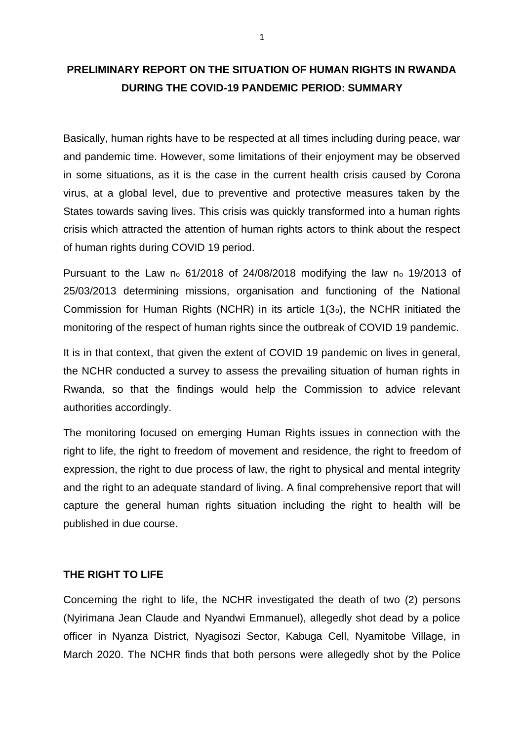# **PRELIMINARY REPORT ON THE SITUATION OF HUMAN RIGHTS IN RWANDA DURING THE COVID-19 PANDEMIC PERIOD: SUMMARY**

Basically, human rights have to be respected at all times including during peace, war and pandemic time. However, some limitations of their enjoyment may be observed in some situations, as it is the case in the current health crisis caused by Corona virus, at a global level, due to preventive and protective measures taken by the States towards saving lives. This crisis was quickly transformed into a human rights crisis which attracted the attention of human rights actors to think about the respect of human rights during COVID 19 period.

Pursuant to the Law no 61/2018 of 24/08/2018 modifying the law no 19/2013 of 25/03/2013 determining missions, organisation and functioning of the National Commission for Human Rights (NCHR) in its article 1(3o), the NCHR initiated the monitoring of the respect of human rights since the outbreak of COVID 19 pandemic.

It is in that context, that given the extent of COVID 19 pandemic on lives in general, the NCHR conducted a survey to assess the prevailing situation of human rights in Rwanda, so that the findings would help the Commission to advice relevant authorities accordingly.

The monitoring focused on emerging Human Rights issues in connection with the right to life, the right to freedom of movement and residence, the right to freedom of expression, the right to due process of law, the right to physical and mental integrity and the right to an adequate standard of living. A final comprehensive report that will capture the general human rights situation including the right to health will be published in due course.

### **THE RIGHT TO LIFE**

Concerning the right to life, the NCHR investigated the death of two (2) persons (Nyirimana Jean Claude and Nyandwi Emmanuel), allegedly shot dead by a police officer in Nyanza District, Nyagisozi Sector, Kabuga Cell, Nyamitobe Village, in March 2020. The NCHR finds that both persons were allegedly shot by the Police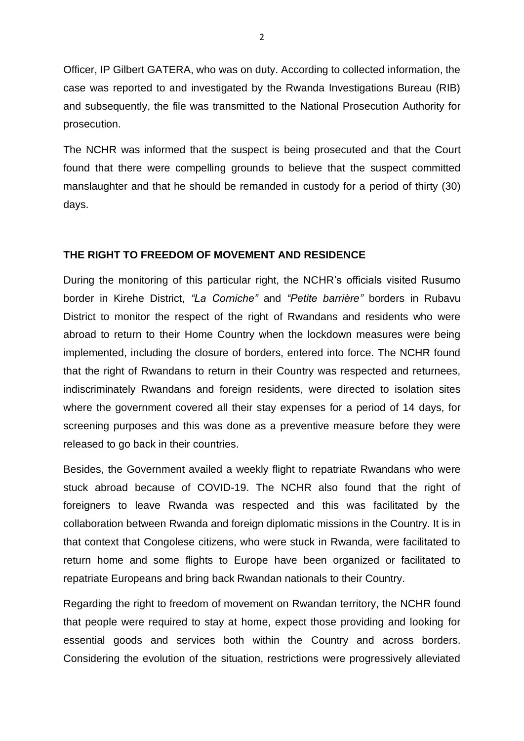Officer, IP Gilbert GATERA, who was on duty. According to collected information, the case was reported to and investigated by the Rwanda Investigations Bureau (RIB) and subsequently, the file was transmitted to the National Prosecution Authority for prosecution.

The NCHR was informed that the suspect is being prosecuted and that the Court found that there were compelling grounds to believe that the suspect committed manslaughter and that he should be remanded in custody for a period of thirty (30) days.

#### **THE RIGHT TO FREEDOM OF MOVEMENT AND RESIDENCE**

During the monitoring of this particular right, the NCHR's officials visited Rusumo border in Kirehe District, *"La Corniche"* and *"Petite barrière"* borders in Rubavu District to monitor the respect of the right of Rwandans and residents who were abroad to return to their Home Country when the lockdown measures were being implemented, including the closure of borders, entered into force. The NCHR found that the right of Rwandans to return in their Country was respected and returnees, indiscriminately Rwandans and foreign residents, were directed to isolation sites where the government covered all their stay expenses for a period of 14 days, for screening purposes and this was done as a preventive measure before they were released to go back in their countries.

Besides, the Government availed a weekly flight to repatriate Rwandans who were stuck abroad because of COVID-19. The NCHR also found that the right of foreigners to leave Rwanda was respected and this was facilitated by the collaboration between Rwanda and foreign diplomatic missions in the Country. It is in that context that Congolese citizens, who were stuck in Rwanda, were facilitated to return home and some flights to Europe have been organized or facilitated to repatriate Europeans and bring back Rwandan nationals to their Country.

Regarding the right to freedom of movement on Rwandan territory, the NCHR found that people were required to stay at home, expect those providing and looking for essential goods and services both within the Country and across borders. Considering the evolution of the situation, restrictions were progressively alleviated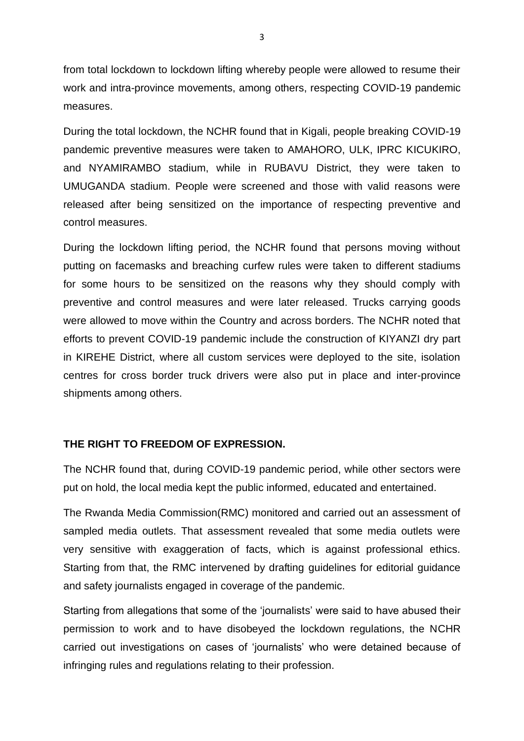from total lockdown to lockdown lifting whereby people were allowed to resume their work and intra-province movements, among others, respecting COVID-19 pandemic measures.

During the total lockdown, the NCHR found that in Kigali, people breaking COVID-19 pandemic preventive measures were taken to AMAHORO, ULK, IPRC KICUKIRO, and NYAMIRAMBO stadium, while in RUBAVU District, they were taken to UMUGANDA stadium. People were screened and those with valid reasons were released after being sensitized on the importance of respecting preventive and control measures.

During the lockdown lifting period, the NCHR found that persons moving without putting on facemasks and breaching curfew rules were taken to different stadiums for some hours to be sensitized on the reasons why they should comply with preventive and control measures and were later released. Trucks carrying goods were allowed to move within the Country and across borders. The NCHR noted that efforts to prevent COVID-19 pandemic include the construction of KIYANZI dry part in KIREHE District, where all custom services were deployed to the site, isolation centres for cross border truck drivers were also put in place and inter-province shipments among others.

### **THE RIGHT TO FREEDOM OF EXPRESSION.**

The NCHR found that, during COVID-19 pandemic period, while other sectors were put on hold, the local media kept the public informed, educated and entertained.

The Rwanda Media Commission(RMC) monitored and carried out an assessment of sampled media outlets. That assessment revealed that some media outlets were very sensitive with exaggeration of facts, which is against professional ethics. Starting from that, the RMC intervened by drafting guidelines for editorial guidance and safety journalists engaged in coverage of the pandemic.

Starting from allegations that some of the 'journalists' were said to have abused their permission to work and to have disobeyed the lockdown regulations, the NCHR carried out investigations on cases of 'journalists' who were detained because of infringing rules and regulations relating to their profession.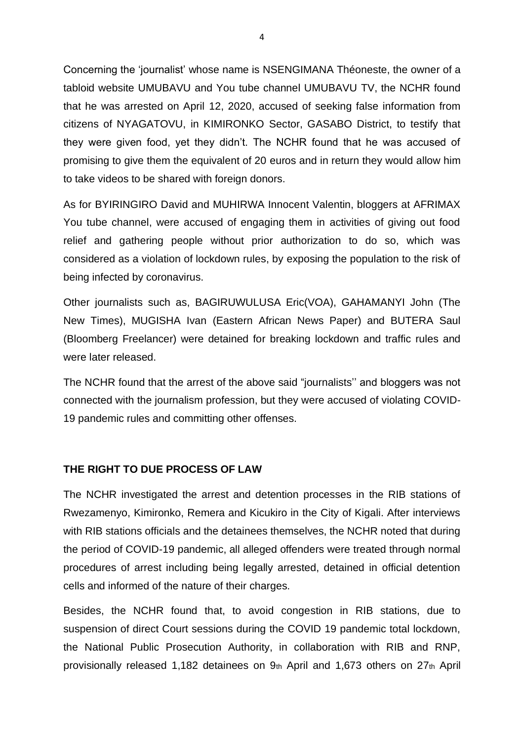Concerning the 'journalist' whose name is NSENGIMANA Théoneste, the owner of a tabloid website UMUBAVU and You tube channel UMUBAVU TV, the NCHR found that he was arrested on April 12, 2020, accused of seeking false information from citizens of NYAGATOVU, in KIMIRONKO Sector, GASABO District, to testify that they were given food, yet they didn't. The NCHR found that he was accused of promising to give them the equivalent of 20 euros and in return they would allow him to take videos to be shared with foreign donors.

As for BYIRINGIRO David and MUHIRWA Innocent Valentin, bloggers at AFRIMAX You tube channel, were accused of engaging them in activities of giving out food relief and gathering people without prior authorization to do so, which was considered as a violation of lockdown rules, by exposing the population to the risk of being infected by coronavirus.

Other journalists such as, BAGIRUWULUSA Eric(VOA), GAHAMANYI John (The New Times), MUGISHA Ivan (Eastern African News Paper) and BUTERA Saul (Bloomberg Freelancer) were detained for breaking lockdown and traffic rules and were later released.

The NCHR found that the arrest of the above said "journalists'' and bloggers was not connected with the journalism profession, but they were accused of violating COVID-19 pandemic rules and committing other offenses.

### **THE RIGHT TO DUE PROCESS OF LAW**

The NCHR investigated the arrest and detention processes in the RIB stations of Rwezamenyo, Kimironko, Remera and Kicukiro in the City of Kigali. After interviews with RIB stations officials and the detainees themselves, the NCHR noted that during the period of COVID-19 pandemic, all alleged offenders were treated through normal procedures of arrest including being legally arrested, detained in official detention cells and informed of the nature of their charges.

Besides, the NCHR found that, to avoid congestion in RIB stations, due to suspension of direct Court sessions during the COVID 19 pandemic total lockdown, the National Public Prosecution Authority, in collaboration with RIB and RNP, provisionally released 1,182 detainees on 9th April and 1,673 others on 27th April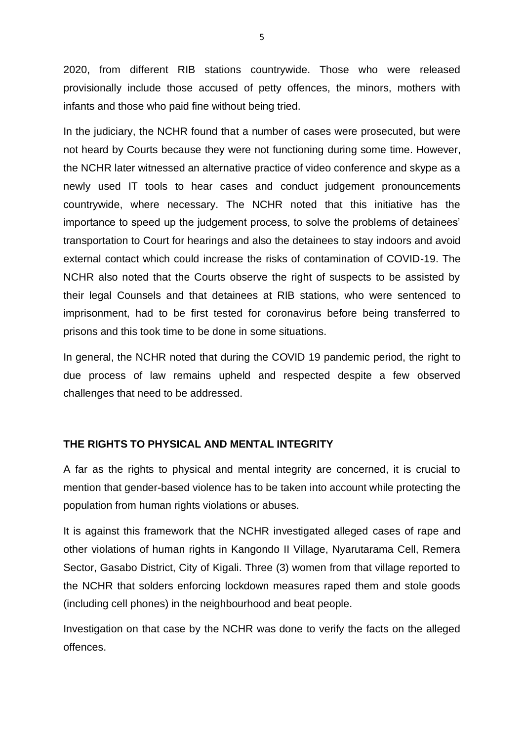2020, from different RIB stations countrywide. Those who were released provisionally include those accused of petty offences, the minors, mothers with infants and those who paid fine without being tried.

In the judiciary, the NCHR found that a number of cases were prosecuted, but were not heard by Courts because they were not functioning during some time. However, the NCHR later witnessed an alternative practice of video conference and skype as a newly used IT tools to hear cases and conduct judgement pronouncements countrywide, where necessary. The NCHR noted that this initiative has the importance to speed up the judgement process, to solve the problems of detainees' transportation to Court for hearings and also the detainees to stay indoors and avoid external contact which could increase the risks of contamination of COVID-19. The NCHR also noted that the Courts observe the right of suspects to be assisted by their legal Counsels and that detainees at RIB stations, who were sentenced to imprisonment, had to be first tested for coronavirus before being transferred to prisons and this took time to be done in some situations.

In general, the NCHR noted that during the COVID 19 pandemic period, the right to due process of law remains upheld and respected despite a few observed challenges that need to be addressed.

## **THE RIGHTS TO PHYSICAL AND MENTAL INTEGRITY**

A far as the rights to physical and mental integrity are concerned, it is crucial to mention that gender-based violence has to be taken into account while protecting the population from human rights violations or abuses.

It is against this framework that the NCHR investigated alleged cases of rape and other violations of human rights in Kangondo II Village, Nyarutarama Cell, Remera Sector, Gasabo District, City of Kigali. Three (3) women from that village reported to the NCHR that solders enforcing lockdown measures raped them and stole goods (including cell phones) in the neighbourhood and beat people.

Investigation on that case by the NCHR was done to verify the facts on the alleged offences.

5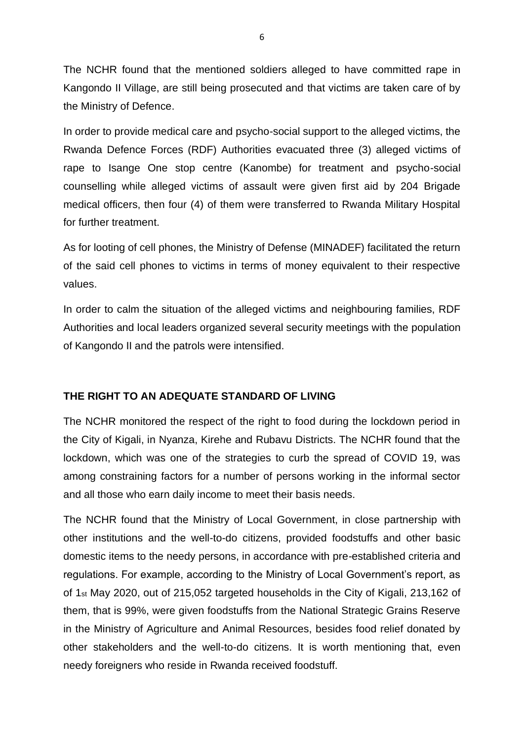The NCHR found that the mentioned soldiers alleged to have committed rape in Kangondo II Village, are still being prosecuted and that victims are taken care of by the Ministry of Defence.

In order to provide medical care and psycho-social support to the alleged victims, the Rwanda Defence Forces (RDF) Authorities evacuated three (3) alleged victims of rape to Isange One stop centre (Kanombe) for treatment and psycho-social counselling while alleged victims of assault were given first aid by 204 Brigade medical officers, then four (4) of them were transferred to Rwanda Military Hospital for further treatment.

As for looting of cell phones, the Ministry of Defense (MINADEF) facilitated the return of the said cell phones to victims in terms of money equivalent to their respective values.

In order to calm the situation of the alleged victims and neighbouring families, RDF Authorities and local leaders organized several security meetings with the population of Kangondo II and the patrols were intensified.

## **THE RIGHT TO AN ADEQUATE STANDARD OF LIVING**

The NCHR monitored the respect of the right to food during the lockdown period in the City of Kigali, in Nyanza, Kirehe and Rubavu Districts. The NCHR found that the lockdown, which was one of the strategies to curb the spread of COVID 19, was among constraining factors for a number of persons working in the informal sector and all those who earn daily income to meet their basis needs.

The NCHR found that the Ministry of Local Government, in close partnership with other institutions and the well-to-do citizens, provided foodstuffs and other basic domestic items to the needy persons, in accordance with pre-established criteria and regulations. For example, according to the Ministry of Local Government's report, as of 1st May 2020, out of 215,052 targeted households in the City of Kigali, 213,162 of them, that is 99%, were given foodstuffs from the National Strategic Grains Reserve in the Ministry of Agriculture and Animal Resources, besides food relief donated by other stakeholders and the well-to-do citizens. It is worth mentioning that, even needy foreigners who reside in Rwanda received foodstuff.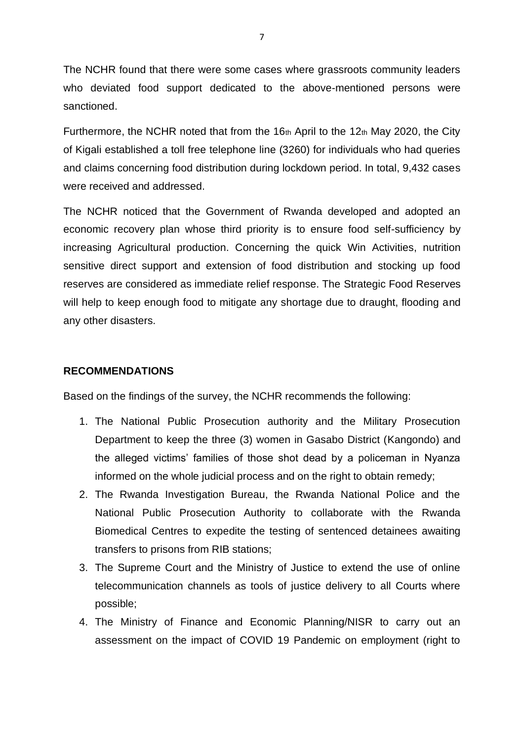The NCHR found that there were some cases where grassroots community leaders who deviated food support dedicated to the above-mentioned persons were sanctioned.

Furthermore, the NCHR noted that from the 16th April to the 12th May 2020, the City of Kigali established a toll free telephone line (3260) for individuals who had queries and claims concerning food distribution during lockdown period. In total, 9,432 cases were received and addressed.

The NCHR noticed that the Government of Rwanda developed and adopted an economic recovery plan whose third priority is to ensure food self-sufficiency by increasing Agricultural production. Concerning the quick Win Activities, nutrition sensitive direct support and extension of food distribution and stocking up food reserves are considered as immediate relief response. The Strategic Food Reserves will help to keep enough food to mitigate any shortage due to draught, flooding and any other disasters.

### **RECOMMENDATIONS**

Based on the findings of the survey, the NCHR recommends the following:

- 1. The National Public Prosecution authority and the Military Prosecution Department to keep the three (3) women in Gasabo District (Kangondo) and the alleged victims' families of those shot dead by a policeman in Nyanza informed on the whole judicial process and on the right to obtain remedy;
- 2. The Rwanda Investigation Bureau, the Rwanda National Police and the National Public Prosecution Authority to collaborate with the Rwanda Biomedical Centres to expedite the testing of sentenced detainees awaiting transfers to prisons from RIB stations;
- 3. The Supreme Court and the Ministry of Justice to extend the use of online telecommunication channels as tools of justice delivery to all Courts where possible;
- 4. The Ministry of Finance and Economic Planning/NISR to carry out an assessment on the impact of COVID 19 Pandemic on employment (right to